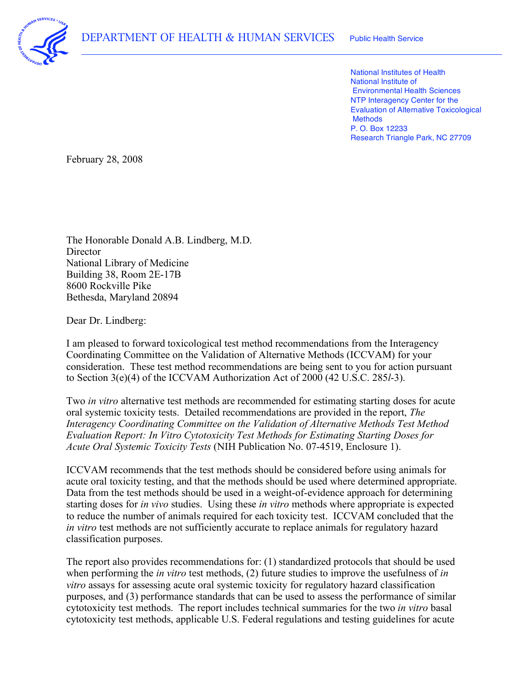

 National Institutes of Health National Institute of Environmental Health Sciences NTP Interagency Center for the Evaluation of Alternative Toxicological P. O. Box 12233 Research Triangle Park, NC 27709 **Methods** 

February 28, 2008

 The Honorable Donald A.B. Lindberg, M.D. National Library of Medicine Building 38, Room 2E-17B Director 8600 Rockville Pike Bethesda, Maryland 20894

Dear Dr. Lindberg:

 I am pleased to forward toxicological test method recommendations from the Interagency Coordinating Committee on the Validation of Alternative Methods (ICCVAM) for your consideration. These test method recommendations are being sent to you for action pursuant to Section 3(e)(4) of the ICCVAM Authorization Act of 2000 (42 U.S.C. 285*l*-3).

 Two *in vitro* alternative test methods are recommended for estimating starting doses for acute oral systemic toxicity tests. Detailed recommendations are provided in the report, *The Interagency Coordinating Committee on the Validation of Alternative Methods Test Method Evaluation Report: In Vitro Cytotoxicity Test Methods for Estimating Starting Doses for Acute Oral Systemic Toxicity Tests* (NIH Publication No. 07-4519, Enclosure 1).

 ICCVAM recommends that the test methods should be considered before using animals for acute oral toxicity testing, and that the methods should be used where determined appropriate. Data from the test methods should be used in a weight-of-evidence approach for determining starting doses for *in vivo* studies. Using these *in vitro* methods where appropriate is expected to reduce the number of animals required for each toxicity test. ICCVAM concluded that the *in vitro* test methods are not sufficiently accurate to replace animals for regulatory hazard classification purposes.

 The report also provides recommendations for: (1) standardized protocols that should be used when performing the *in vitro* test methods, (2) future studies to improve the usefulness of *in vitro* assays for assessing acute oral systemic toxicity for regulatory hazard classification purposes, and (3) performance standards that can be used to assess the performance of similar cytotoxicity test methods. The report includes technical summaries for the two *in vitro* basal cytotoxicity test methods, applicable U.S. Federal regulations and testing guidelines for acute